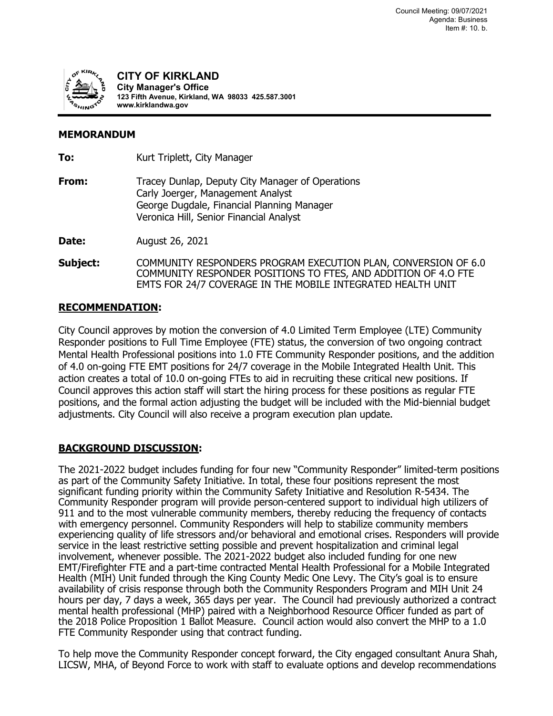

**CITY OF KIRKLAND City Manager's Office 123 Fifth Avenue, Kirkland, WA 98033 425.587.3001 www.kirklandwa.gov**

## **MEMORANDUM**

| To:      | Kurt Triplett, City Manager                                                                                                                                                                     |
|----------|-------------------------------------------------------------------------------------------------------------------------------------------------------------------------------------------------|
| From:    | Tracey Dunlap, Deputy City Manager of Operations<br>Carly Joerger, Management Analyst<br>George Dugdale, Financial Planning Manager<br>Veronica Hill, Senior Financial Analyst                  |
| Date:    | August 26, 2021                                                                                                                                                                                 |
| Subject: | COMMUNITY RESPONDERS PROGRAM EXECUTION PLAN, CONVERSION OF 6.0<br>COMMUNITY RESPONDER POSITIONS TO FTES, AND ADDITION OF 4.0 FTE<br>EMTS FOR 24/7 COVERAGE IN THE MOBILE INTEGRATED HEALTH UNIT |

## **RECOMMENDATION:**

City Council approves by motion the conversion of 4.0 Limited Term Employee (LTE) Community Responder positions to Full Time Employee (FTE) status, the conversion of two ongoing contract Mental Health Professional positions into 1.0 FTE Community Responder positions, and the addition of 4.0 on-going FTE EMT positions for 24/7 coverage in the Mobile Integrated Health Unit. This action creates a total of 10.0 on-going FTEs to aid in recruiting these critical new positions. If Council approves this action staff will start the hiring process for these positions as regular FTE positions, and the formal action adjusting the budget will be included with the Mid-biennial budget adjustments. City Council will also receive a program execution plan update.

# **BACKGROUND DISCUSSION:**

The 2021-2022 budget includes funding for four new "Community Responder" limited-term positions as part of the Community Safety Initiative. In total, these four positions represent the most significant funding priority within the Community Safety Initiative and Resolution R-5434. The Community Responder program will provide person-centered support to individual high utilizers of 911 and to the most vulnerable community members, thereby reducing the frequency of contacts with emergency personnel. Community Responders will help to stabilize community members experiencing quality of life stressors and/or behavioral and emotional crises. Responders will provide service in the least restrictive setting possible and prevent hospitalization and criminal legal involvement, whenever possible. The 2021-2022 budget also included funding for one new EMT/Firefighter FTE and a part-time contracted Mental Health Professional for a Mobile Integrated Health (MIH) Unit funded through the King County Medic One Levy. The City's goal is to ensure availability of crisis response through both the Community Responders Program and MIH Unit 24 hours per day, 7 days a week, 365 days per year. The Council had previously authorized a contract mental health professional (MHP) paired with a Neighborhood Resource Officer funded as part of the 2018 Police Proposition 1 Ballot Measure. Council action would also convert the MHP to a 1.0 FTE Community Responder using that contract funding.

To help move the Community Responder concept forward, the City engaged consultant Anura Shah, LICSW, MHA, of Beyond Force to work with staff to evaluate options and develop recommendations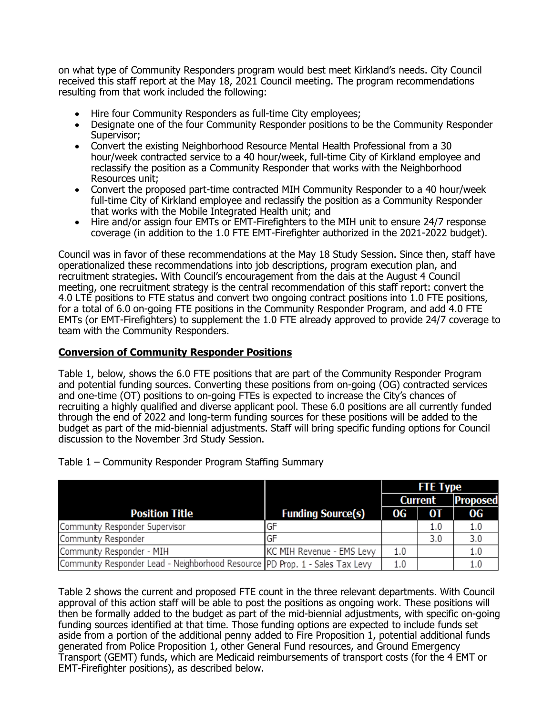on what type of Community Responders program would best meet Kirkland's needs. City Council received this staff report at the May 18, 2021 Council meeting. The program recommendations resulting from that work included the following:

- Hire four Community Responders as full-time City employees;
- Designate one of the four Community Responder positions to be the Community Responder Supervisor;
- Convert the existing Neighborhood Resource Mental Health Professional from a 30 hour/week contracted service to a 40 hour/week, full-time City of Kirkland employee and reclassify the position as a Community Responder that works with the Neighborhood Resources unit;
- Convert the proposed part-time contracted MIH Community Responder to a 40 hour/week full-time City of Kirkland employee and reclassify the position as a Community Responder that works with the Mobile Integrated Health unit; and
- Hire and/or assign four EMTs or EMT-Firefighters to the MIH unit to ensure 24/7 response coverage (in addition to the 1.0 FTE EMT-Firefighter authorized in the 2021-2022 budget).

Council was in favor of these recommendations at the May 18 Study Session. Since then, staff have operationalized these recommendations into job descriptions, program execution plan, and recruitment strategies. With Council's encouragement from the dais at the August 4 Council meeting, one recruitment strategy is the central recommendation of this staff report: convert the 4.0 LTE positions to FTE status and convert two ongoing contract positions into 1.0 FTE positions, for a total of 6.0 on-going FTE positions in the Community Responder Program, and add 4.0 FTE EMTs (or EMT-Firefighters) to supplement the 1.0 FTE already approved to provide 24/7 coverage to team with the Community Responders.

## **Conversion of Community Responder Positions**

Table 1, below, shows the 6.0 FTE positions that are part of the Community Responder Program and potential funding sources. Converting these positions from on-going (OG) contracted services and one-time (OT) positions to on-going FTEs is expected to increase the City's chances of recruiting a highly qualified and diverse applicant pool. These 6.0 positions are all currently funded through the end of 2022 and long-term funding sources for these positions will be added to the budget as part of the mid-biennial adjustments. Staff will bring specific funding options for Council discussion to the November 3rd Study Session.

| budget as part of the mid-biennial adjustments. Staff will bring specific funding options for Council<br>discussion to the November 3rd Study Session. |                           |                 |                |                 |
|--------------------------------------------------------------------------------------------------------------------------------------------------------|---------------------------|-----------------|----------------|-----------------|
| Table 1 – Community Responder Program Staffing Summary                                                                                                 |                           |                 |                |                 |
|                                                                                                                                                        |                           | <b>FTE Type</b> |                |                 |
|                                                                                                                                                        |                           |                 | <b>Current</b> | <b>Proposed</b> |
| <b>Position Title</b>                                                                                                                                  | <b>Funding Source(s)</b>  | OG.             | 0T             | OG.             |
| Community Responder Supervisor                                                                                                                         | GF                        |                 | 1.0            | 1.0             |
| Community Responder                                                                                                                                    | GF                        |                 | 3.0            | 3.0             |
| Community Responder - MIH                                                                                                                              | KC MIH Revenue - EMS Levy | 1.0             |                | 1.0             |
| Community Responder Lead - Neighborhood Resource PD Prop. 1 - Sales Tax Levy                                                                           |                           | 1.0             |                | 1.0             |

Table 2 shows the current and proposed FTE count in the three relevant departments. With Council approval of this action staff will be able to post the positions as ongoing work. These positions will then be formally added to the budget as part of the mid-biennial adjustments, with specific on-going funding sources identified at that time. Those funding options are expected to include funds set aside from a portion of the additional penny added to Fire Proposition 1, potential additional funds generated from Police Proposition 1, other General Fund resources, and Ground Emergency Transport (GEMT) funds, which are Medicaid reimbursements of transport costs (for the 4 EMT or EMT-Firefighter positions), as described below.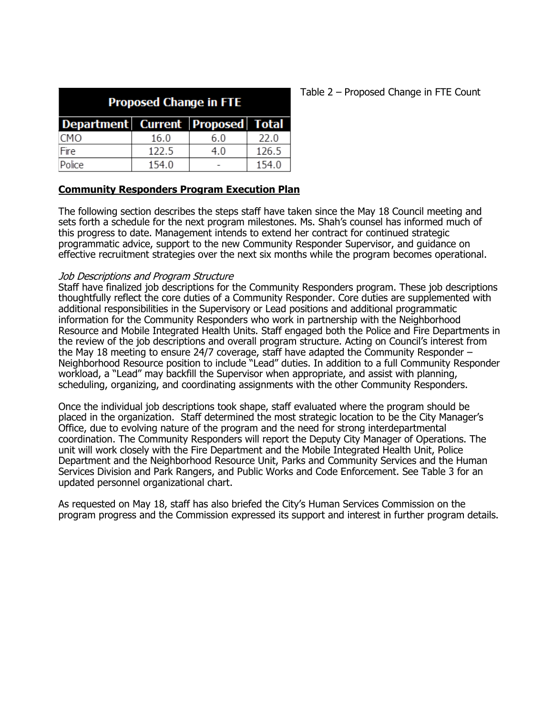| <b>Proposed Change in FTE</b>           |       |     |       |  |  |  |  |  |
|-----------------------------------------|-------|-----|-------|--|--|--|--|--|
| Department   Current   Proposed   Total |       |     |       |  |  |  |  |  |
| <b>CMO</b>                              | 16.0  | 6.0 | 22.0  |  |  |  |  |  |
| Fire                                    | 122.5 | 4.0 | 126.5 |  |  |  |  |  |
| Police                                  | 154.0 |     | 154.0 |  |  |  |  |  |

## **Community Responders Program Execution Plan**

The following section describes the steps staff have taken since the May 18 Council meeting and sets forth a schedule for the next program milestones. Ms. Shah's counsel has informed much of this progress to date. Management intends to extend her contract for continued strategic programmatic advice, support to the new Community Responder Supervisor, and guidance on effective recruitment strategies over the next six months while the program becomes operational.

#### Job Descriptions and Program Structure

Staff have finalized job descriptions for the Community Responders program. These job descriptions thoughtfully reflect the core duties of a Community Responder. Core duties are supplemented with additional responsibilities in the Supervisory or Lead positions and additional programmatic information for the Community Responders who work in partnership with the Neighborhood Resource and Mobile Integrated Health Units. Staff engaged both the Police and Fire Departments in the review of the job descriptions and overall program structure. Acting on Council's interest from the May 18 meeting to ensure 24/7 coverage, staff have adapted the Community Responder – Neighborhood Resource position to include "Lead" duties. In addition to a full Community Responder workload, a "Lead" may backfill the Supervisor when appropriate, and assist with planning, scheduling, organizing, and coordinating assignments with the other Community Responders.

Once the individual job descriptions took shape, staff evaluated where the program should be placed in the organization. Staff determined the most strategic location to be the City Manager's Office, due to evolving nature of the program and the need for strong interdepartmental coordination. The Community Responders will report the Deputy City Manager of Operations. The unit will work closely with the Fire Department and the Mobile Integrated Health Unit, Police Department and the Neighborhood Resource Unit, Parks and Community Services and the Human Services Division and Park Rangers, and Public Works and Code Enforcement. See Table 3 for an updated personnel organizational chart.

As requested on May 18, staff has also briefed the City's Human Services Commission on the program progress and the Commission expressed its support and interest in further program details.

## Table 2 – Proposed Change in FTE Count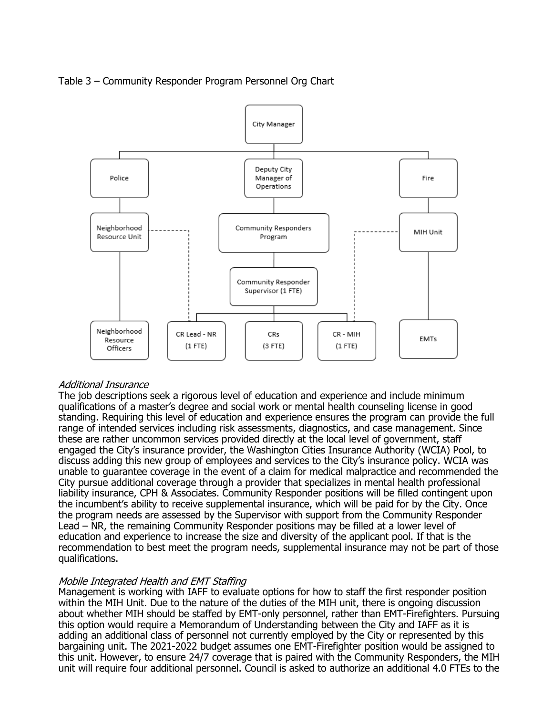

## Table 3 – Community Responder Program Personnel Org Chart

#### Additional Insurance

The job descriptions seek a rigorous level of education and experience and include minimum qualifications of a master's degree and social work or mental health counseling license in good standing. Requiring this level of education and experience ensures the program can provide the full range of intended services including risk assessments, diagnostics, and case management. Since these are rather uncommon services provided directly at the local level of government, staff engaged the City's insurance provider, the Washington Cities Insurance Authority (WCIA) Pool, to discuss adding this new group of employees and services to the City's insurance policy. WCIA was unable to guarantee coverage in the event of a claim for medical malpractice and recommended the City pursue additional coverage through a provider that specializes in mental health professional liability insurance, CPH & Associates. Community Responder positions will be filled contingent upon the incumbent's ability to receive supplemental insurance, which will be paid for by the City. Once the program needs are assessed by the Supervisor with support from the Community Responder Lead – NR, the remaining Community Responder positions may be filled at a lower level of education and experience to increase the size and diversity of the applicant pool. If that is the recommendation to best meet the program needs, supplemental insurance may not be part of those qualifications.

#### Mobile Integrated Health and EMT Staffing

Management is working with IAFF to evaluate options for how to staff the first responder position within the MIH Unit. Due to the nature of the duties of the MIH unit, there is ongoing discussion about whether MIH should be staffed by EMT-only personnel, rather than EMT-Firefighters. Pursuing this option would require a Memorandum of Understanding between the City and IAFF as it is adding an additional class of personnel not currently employed by the City or represented by this bargaining unit. The 2021-2022 budget assumes one EMT-Firefighter position would be assigned to this unit. However, to ensure 24/7 coverage that is paired with the Community Responders, the MIH unit will require four additional personnel. Council is asked to authorize an additional 4.0 FTEs to the